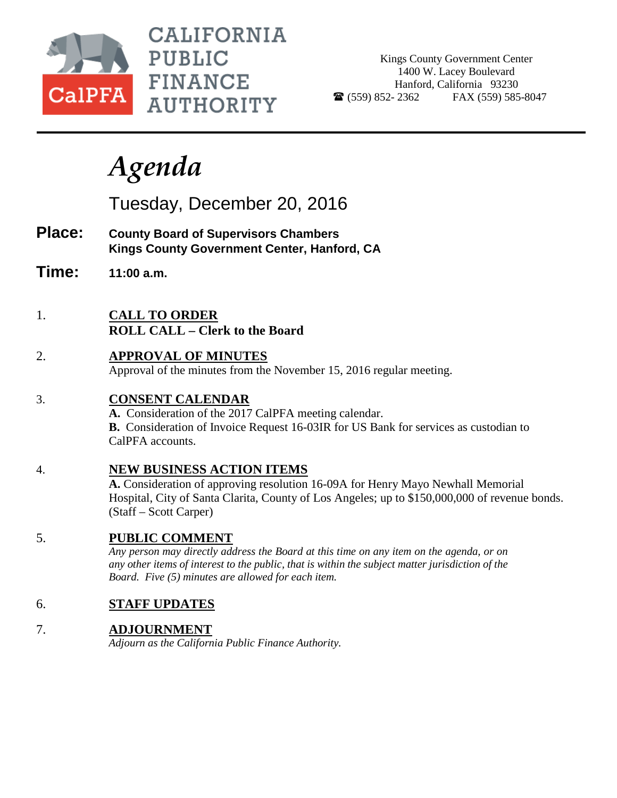

CALIFORNIA **PUBLIC FINANCE AUTHORITY** 

Kings County Government Center 1400 W. Lacey Boulevard Hanford, California 93230  $\bullet$  (559) 852-2362 FAX (559) 585-8047

# *Agenda*

Tuesday, December 20, 2016

- **Place: County Board of Supervisors Chambers Kings County Government Center, Hanford, CA**
- **Time: 11:00 a.m.**
- 1. **CALL TO ORDER ROLL CALL – Clerk to the Board**
- 2. **APPROVAL OF MINUTES** Approval of the minutes from the November 15, 2016 regular meeting.

## 3. **CONSENT CALENDAR**

**A.** Consideration of the 2017 CalPFA meeting calendar. **B.** Consideration of Invoice Request 16-03IR for US Bank for services as custodian to CalPFA accounts.

4. **NEW BUSINESS ACTION ITEMS**

**A.** Consideration of approving resolution 16-09A for Henry Mayo Newhall Memorial Hospital, City of Santa Clarita, County of Los Angeles; up to \$150,000,000 of revenue bonds. (Staff – Scott Carper)

## 5. **PUBLIC COMMENT**

*Any person may directly address the Board at this time on any item on the agenda, or on any other items of interest to the public, that is within the subject matter jurisdiction of the Board. Five (5) minutes are allowed for each item.*

## 6. **STAFF UPDATES**

## 7. **ADJOURNMENT**

*Adjourn as the California Public Finance Authority.*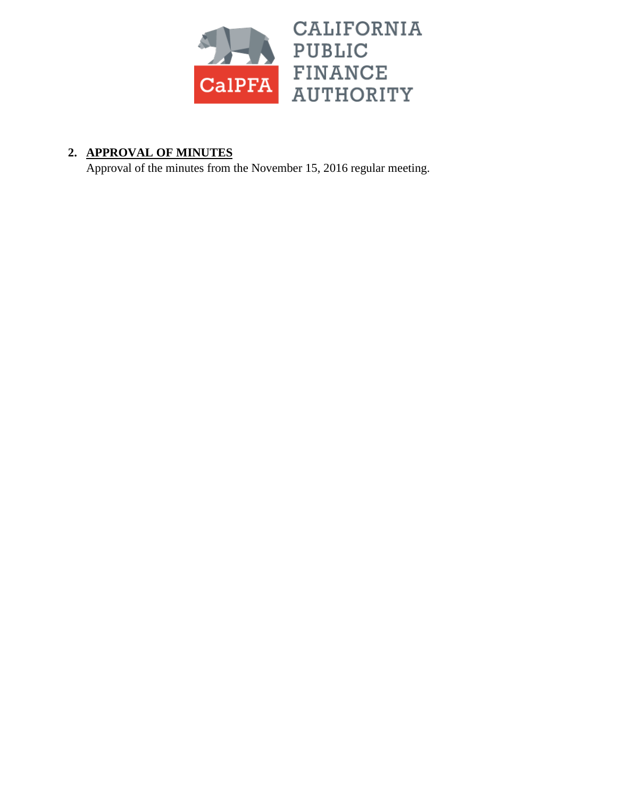

## **2. APPROVAL OF MINUTES**

Approval of the minutes from the November 15, 2016 regular meeting.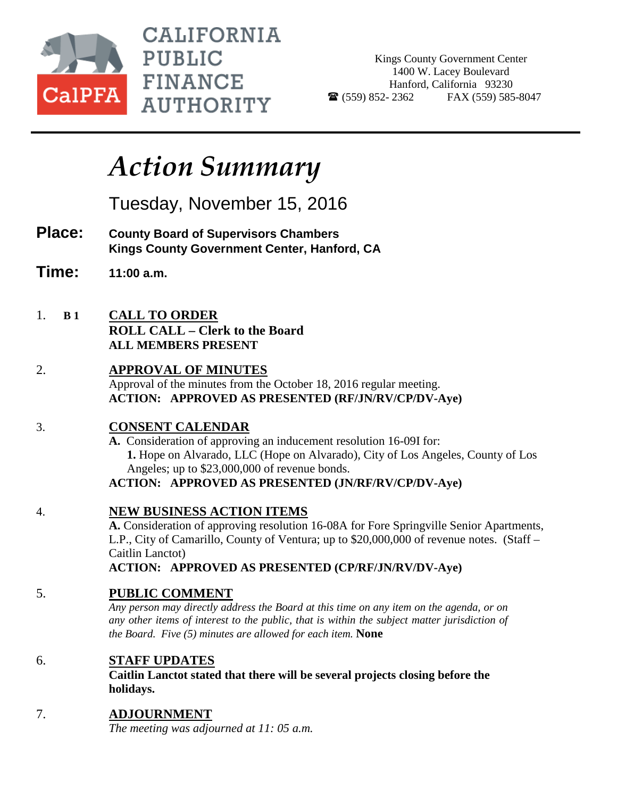

**CALIFORNIA PUBLIC FINANCE AUTHORITY** 

Kings County Government Center 1400 W. Lacey Boulevard Hanford, California 93230  $\bullet$  (559) 852-2362 FAX (559) 585-8047

## *Action Summary*

Tuesday, November 15, 2016

- **Place: County Board of Supervisors Chambers Kings County Government Center, Hanford, CA**
- **Time: 11:00 a.m.**
- 1. **B 1 CALL TO ORDER ROLL CALL – Clerk to the Board ALL MEMBERS PRESENT**

### 2. **APPROVAL OF MINUTES** Approval of the minutes from the October 18, 2016 regular meeting. **ACTION: APPROVED AS PRESENTED (RF/JN/RV/CP/DV-Aye)**

## 3. **CONSENT CALENDAR**

**A.** Consideration of approving an inducement resolution 16-09I for:  **1.** Hope on Alvarado, LLC (Hope on Alvarado), City of Los Angeles, County of Los Angeles; up to \$23,000,000 of revenue bonds.

## **ACTION: APPROVED AS PRESENTED (JN/RF/RV/CP/DV-Aye)**

## 4. **NEW BUSINESS ACTION ITEMS**

**A.** Consideration of approving resolution 16-08A for Fore Springville Senior Apartments, L.P., City of Camarillo, County of Ventura; up to \$20,000,000 of revenue notes. (Staff – Caitlin Lanctot)

## **ACTION: APPROVED AS PRESENTED (CP/RF/JN/RV/DV-Aye)**

## 5. **PUBLIC COMMENT**

*Any person may directly address the Board at this time on any item on the agenda, or on any other items of interest to the public, that is within the subject matter jurisdiction of the Board. Five (5) minutes are allowed for each item.* **None**

## 6. **STAFF UPDATES**

**Caitlin Lanctot stated that there will be several projects closing before the holidays.**

## 7. **ADJOURNMENT**

*The meeting was adjourned at 11: 05 a.m.*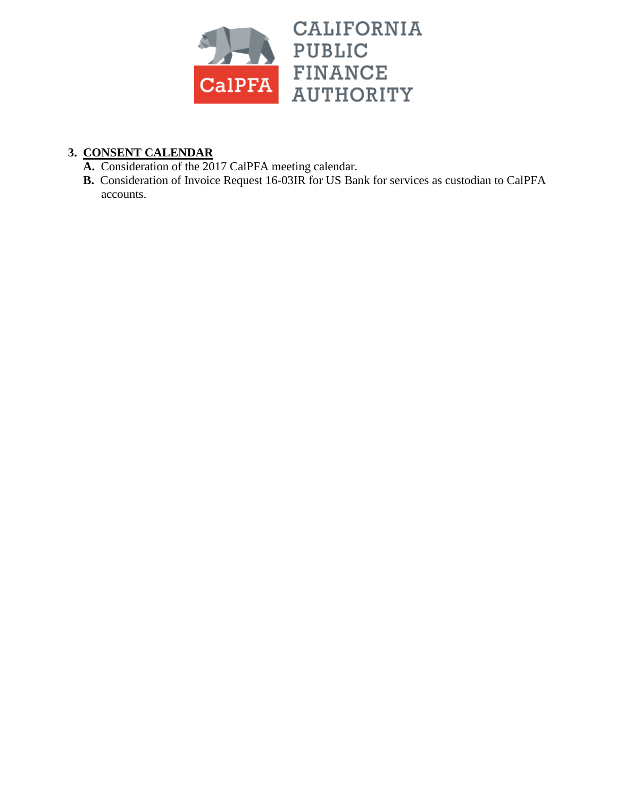

## **3. CONSENT CALENDAR**

- **A.** Consideration of the 2017 CalPFA meeting calendar.
- **B.** Consideration of Invoice Request 16-03IR for US Bank for services as custodian to CalPFA accounts.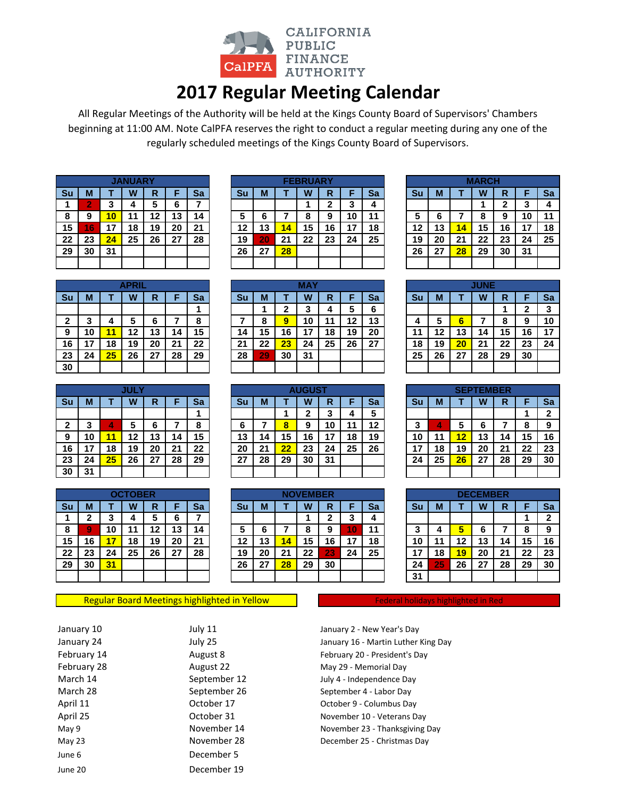

## **2017 Regular Meeting Calendar**

All Regular Meetings of the Authority will be held at the Kings County Board of Supervisors' Chambers beginning at 11:00 AM. Note CalPFA reserves the right to conduct a regular meeting during any one of the regularly scheduled meetings of the Kings County Board of Supervisors.

|    |    |    | <b>JANUARY.</b> |    |    |    |
|----|----|----|-----------------|----|----|----|
| Su | М  | Т  | W               | R  | F  | Sa |
|    | 2  | 3  | 4               | 5  | 6  |    |
| 8  | 9  | 10 | 11              | 12 | 13 | 14 |
| 15 | 16 | 17 | 18              | 19 | 20 | 21 |
| 22 | 23 | 24 | 25              | 26 | 27 | 28 |
| 29 | 30 | 31 |                 |    |    |    |
|    |    |    |                 |    |    |    |

|    |    |    | IANIIADV |    |    |    |    |    |    | FFRRUARY |    |    |    |    |    |    | MARCH |    |     |    |
|----|----|----|----------|----|----|----|----|----|----|----------|----|----|----|----|----|----|-------|----|-----|----|
| Su | М  |    | W        | R  |    | Sa | Su | M  |    | W        | R  |    | Sa | Su | М  |    | W     | R  |     | Sa |
|    | n  |    |          |    |    |    |    |    |    |          |    | w  |    |    |    |    |       |    |     |    |
| 8  | 9  |    |          | 12 | 13 | 14 |    |    |    |          | 9  | 10 | 11 | 5  |    |    | o     |    | 10  | 11 |
| 15 | 16 |    | 18       | 19 | 20 | 21 | 12 | 13 | 14 | 15       | 16 | 17 | 18 | 12 | 13 |    | 15    | 16 |     | 18 |
| 22 | 23 | 24 | 25       | 26 | 27 | 28 | 19 | 20 | 21 | 22       | 23 | 24 | 25 | 19 | 20 | 21 | 22    | 23 | 24  | 25 |
| 29 | 30 | 31 |          |    |    |    | 26 | 27 | 28 |          |    |    |    | 26 | 27 | 28 | 29    | 30 | -31 |    |
|    |    |    |          |    |    |    |    |    |    |          |    |    |    |    |    |    |       |    |     |    |

|    |                        |    | <b>MARCH</b> |              |    |    |  |  |  |  |  |  |
|----|------------------------|----|--------------|--------------|----|----|--|--|--|--|--|--|
| Su | М                      | т  | W            | R            | F  | Sa |  |  |  |  |  |  |
|    |                        |    |              | $\mathbf{2}$ | 3  | 4  |  |  |  |  |  |  |
| 5  | 6<br>9<br>10<br>8<br>7 |    |              |              |    |    |  |  |  |  |  |  |
| 12 | 13                     | 14 | 15           | 16           | 17 | 18 |  |  |  |  |  |  |
| 19 | 20                     | 21 | 22           | 23           | 24 | 25 |  |  |  |  |  |  |
| 26 | 27                     | 28 | 29           | 30           | 31 |    |  |  |  |  |  |  |
|    |                        |    |              |              |    |    |  |  |  |  |  |  |

|           |    |    | <b>APRIL</b> |    |    |    |    |     |    | MAY |         |    |    |    |    |    | <b>JUNE</b> |    |    |    |
|-----------|----|----|--------------|----|----|----|----|-----|----|-----|---------|----|----|----|----|----|-------------|----|----|----|
| <b>Su</b> | M  |    | W            | R  |    | Sa | Su | М   |    | W   | D<br>יי |    | Sa | Su | М  |    | W           | R  |    | Sa |
|           |    |    |              |    |    |    |    |     | ∽  |     |         |    | 6  |    |    |    |             |    |    |    |
|           | w  |    |              | 6  |    | О  |    |     | 9  | 10  |         | 12 | 13 | 4  | 5  | h  |             | 8  | 9  | 10 |
|           | 10 | 1  | 12           | 13 | 14 | 15 | 14 | 15  | 16 | 17  | 18      | 19 | 20 | 11 | 12 | 3، | 14          | 15 | 16 |    |
| 16        |    | 18 | 19           | 20 | 21 | 22 | 21 | 22  | 23 | 24  | 25      | 26 | 27 | 18 | 19 | 20 | 21          | 22 | 23 | 24 |
| 23        | 24 | 25 | 26           | 27 | 28 | 29 | 28 | 297 | 30 | 31  |         |    |    | 25 | 26 | 27 | 28          | 29 | 30 |    |
| 30        |    |    |              |    |    |    |    |     |    |     |         |    |    |    |    |    |             |    |    |    |

|              |    |    | <b>JULY</b> |    |    |    |
|--------------|----|----|-------------|----|----|----|
| Su           | M  |    | W           | R  | F  | Sa |
|              |    |    |             |    |    |    |
| $\mathbf{2}$ | 3  | 4  | 5           | 6  | 7  | 8  |
| 9            | 10 | 11 | 12          | 13 | 14 | 15 |
| 16           | 17 | 18 | 19          | 20 | 21 | 22 |
| 23           | 24 | 25 | 26          | 27 | 28 | 29 |
| 30           | 31 |    |             |    |    |    |

|                 |              |    | <b>OCTOBER</b> |    |    |    |
|-----------------|--------------|----|----------------|----|----|----|
| Su              | M            |    | W              | R  | F  | Sa |
| 1               | $\mathbf{2}$ | 3  | 4              | 5  | 6  | 7  |
| 8               | 9            | 10 | 11             | 12 | 13 | 14 |
| 15              | 16           | 17 | 18             | 19 | 20 | 21 |
| 22              | 23           | 24 | 25             | 26 | 27 | 28 |
| $\overline{29}$ | 30           | 31 |                |    |    |    |
|                 |              |    |                |    |    |    |

#### Regular Board Meetings highlighted in Yellow

| January 10  |
|-------------|
| January 24  |
| February 14 |
| February 28 |
| March 14    |
| March 28    |
| April 11    |
| April 25    |
| May 9       |
| May 23      |
| June 6      |
| ۹۵ مسا      |

July 11 December 5 June 20 December 19

| <b>APRIL</b> |    |    |        |    |    |    | MAY |    |    |    |    |    |    | <b>JUNE</b> |    |    |              |
|--------------|----|----|--------|----|----|----|-----|----|----|----|----|----|----|-------------|----|----|--------------|
| W            | R  |    | Sa     | Sυ | М  |    | W   | R  |    | Sa | Sυ | M  |    | w           | R  |    | S            |
|              |    |    |        |    |    | ◠  | 3   | 4  | 5  | 6  |    |    |    |             |    | າ  |              |
| 5            | 6  |    | o<br>ο |    | 8  | 9  | 10  | 11 | 12 | 13 | 4  | 5  | 6  |             | o  | 9  | 1            |
| 12           | 13 | 14 | 15     | 14 | 15 | 16 | 17  | 18 | 19 | 20 | 11 | 12 | 13 | 14          | 15 | 16 | 11           |
| 19           | 20 | 21 | 22     | 21 | 22 | 23 | 24  | 25 | 26 | 27 | 18 | 19 | 20 | 21          | 22 | 23 | $\mathbf{2}$ |
| 26           | 27 | 28 | 29     | 28 | 29 | 30 | 31  |    |    |    | 25 | 26 | 27 | 28          | 29 | 30 |              |
|              |    |    |        |    |    |    |     |    |    |    |    |    |    |             |    |    |              |

|    |        |    |    |         |    |    |    |    |        | <b>AUGUST</b> |    |    |    |          |    |    | <b>SEPTEMBER</b> |    |        |    |
|----|--------|----|----|---------|----|----|----|----|--------|---------------|----|----|----|----------|----|----|------------------|----|--------|----|
| Su | М      |    | W  | R<br>יי |    | Sa | Su | M  |        | W             | R  |    | Sa | Su       | M  |    | W                | ĸ  |        | Sa |
|    |        |    |    |         |    |    |    |    |        |               |    |    |    |          |    |    |                  |    |        | ົ  |
| 2  | ◠<br>J |    | a  | o       |    | 8  |    |    | o<br>o |               | 10 | и  | 12 | ◠<br>u   |    | ÷  | о                |    | c<br>c | 9  |
| 9  | 10     |    | 12 | 13      | 4  | 15 | 13 | 14 | 15     | 6،            |    | 18 | 19 | 10       |    |    | 13               | 14 | 15     | 16 |
| 16 | ⇁      | 8. | 19 | 20      | 21 | 22 | 20 | 21 | 22     | 23            | 24 | 25 | 26 | 47<br>'' | 18 | 19 | 20               | 21 | 22     | 23 |
| 23 | 24     | 25 | 26 | 27      | 28 | 29 | 27 | 28 | 29     | 30            | 31 |    |    | 24       | 25 | 26 | 27               | 28 | 29     | 30 |
| 30 | 31     |    |    |         |    |    |    |    |        |               |    |    |    |          |    |    |                  |    |        |    |

|    |    |    | <b>OCTOBER</b> |    |    |    |    |    |     | <b>VEMBER</b> |    |        |    |        |    |    | <b>DECEMBER</b> |        |        |                |
|----|----|----|----------------|----|----|----|----|----|-----|---------------|----|--------|----|--------|----|----|-----------------|--------|--------|----------------|
| Su | М  |    | W              | R  |    | Sa | Su | М  |     | W             | R  |        | Sa | Su     | M  |    | W               | п<br>ĸ |        | S <sub>a</sub> |
|    | ◠  |    |                | 5  |    |    |    |    |     |               | л, | ≏<br>v |    |        |    |    |                 |        |        | ◠              |
| 8  | 9, | 10 |                | 12 | 13 | 14 |    | o  |     | ο             | 9  | 10     | 11 | ◠<br>v |    |    | o               |        | c<br>c | 9              |
| 15 | 16 |    | 18             | 19 | 20 | 21 | 12 | 13 | 14. | 15            | 16 | 17     | 18 | 10     | 11 | 12 | 13              | 14     | 15     | 16             |
| 22 | 23 | 24 | 25             | 26 | 27 | 28 | 19 | 20 | 21  | 22            | 23 | 24     | 25 | 17     | 18 | 19 | 20              | 21     | 22     | 23             |
| 29 | 30 | 31 |                |    |    |    | 26 | 27 | 28  | 29            | 30 |        |    | 24     | 25 | 26 | 27              | 28     | 29     | 30             |
|    |    |    |                |    |    |    |    |    |     |               |    |        |    | 31     |    |    |                 |        |        |                |
|    |    |    |                |    |    |    |    |    |     |               |    |        |    |        |    |    |                 |        |        |                |

|    |    |    | <b>SEPTEMBER</b> |    |    |   |
|----|----|----|------------------|----|----|---|
| Su | М  | т  | W                | R  | F  | S |
|    |    |    |                  |    |    | 2 |
| 3  | 4  | 5  | 6                |    | 8  | ĉ |
| 10 | 11 | 12 | 13               | 14 | 15 | 1 |
| 17 | 18 | 19 | 20               | 21 | 22 | 2 |
| 24 | 25 | 26 | 27               | 28 | 29 | 3 |
|    |    |    |                  |    |    |   |

|    | <b>DECEMBER</b>            |    |    |              |    |    |  |  |  |  |  |  |  |  |  |
|----|----------------------------|----|----|--------------|----|----|--|--|--|--|--|--|--|--|--|
| Su | M                          |    | W  | R            | F  | Sa |  |  |  |  |  |  |  |  |  |
|    |                            |    |    | $\mathbf{2}$ |    |    |  |  |  |  |  |  |  |  |  |
| 3  | 5<br>6<br>9<br>8<br>4<br>7 |    |    |              |    |    |  |  |  |  |  |  |  |  |  |
| 10 | 11                         | 12 | 13 | 14           | 15 | 16 |  |  |  |  |  |  |  |  |  |
| 17 | 18                         | 19 | 20 | 21           | 22 | 23 |  |  |  |  |  |  |  |  |  |
| 24 | 25                         | 26 | 27 | 28           | 29 | 30 |  |  |  |  |  |  |  |  |  |
| 31 |                            |    |    |              |    |    |  |  |  |  |  |  |  |  |  |

Federal holidays highlighted in Red

July 25 January 16 - Martin Luther King Day August 8 February 20 - President's Day August 22 May 29 - Memorial Day September 12 July 4 - Independence Day September 26 September 4 - Labor Day October 17 October 9 - Columbus Day October 31 November 10 - Veterans Day November 14 November 23 - Thanksgiving Day November 28 December 25 - Christmas Day January 2 - New Year's Day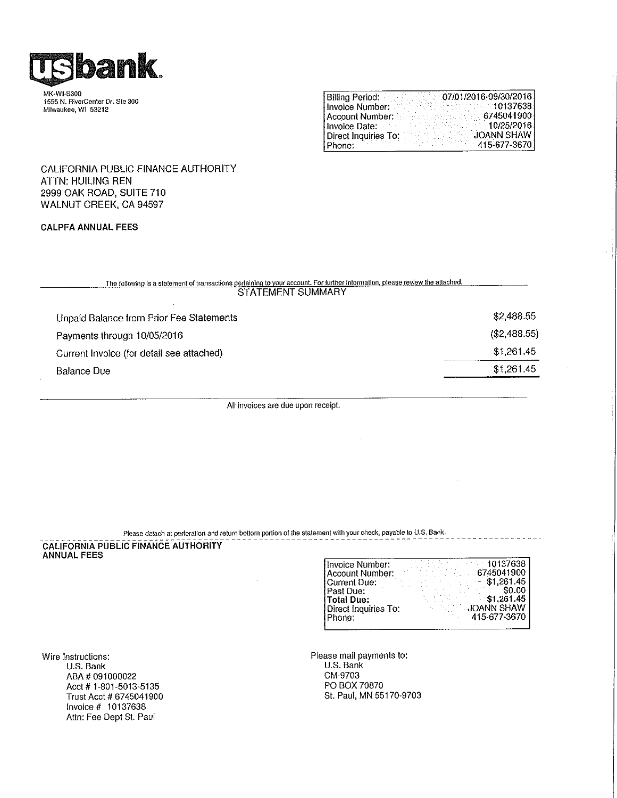

MK-WI-S300 1555 N. RiverCenter Dr. Ste 300 Milwaukee, WI 53212

| <b>Billing Period:</b> | 07/01/2016-09/30/2016 |
|------------------------|-----------------------|
| Invoice Number:        | 10137638              |
| l Account Number:      | 6745041900            |
| Hnvoice Date:          | 10/25/2016            |
| Direct Inquiries To:   | <b>JOANN SHAW</b>     |
| Phone:                 | 415-677-3670          |

CALIFORNIA PUBLIC FINANCE AUTHORITY **ATTN: HUILING REN** 2999 OAK ROAD, SUITE 710 WALNUT CREEK, CA 94597

#### **CALPFA ANNUAL FEES**

| The following is a statement of transactions pertaining to your account. For further information, please review the attached.<br>STATEMENT SUMMARY |              |  |
|----------------------------------------------------------------------------------------------------------------------------------------------------|--------------|--|
| Unpaid Balance from Prior Fee Statements                                                                                                           | \$2,488.55   |  |
| Payments through 10/05/2016                                                                                                                        | (\$2,488.55) |  |
| Current Invoice (for detail see attached)                                                                                                          | \$1,261.45   |  |
| <b>Balance Due</b>                                                                                                                                 | \$1,261.45   |  |
|                                                                                                                                                    |              |  |

All invoices are due upon receipt.

#### Please detach at perforation and return bottom portion of the statement with your check, payable to U.S. Bank.

## CALIFORNIA PUBLIC FINANCE AUTHORITY

| Invoice Number:      | 10137638          |
|----------------------|-------------------|
| Account Number:      | 6745041900        |
| Current Due:         | \$1,261.45        |
| Past Due:            | \$0.00            |
| i Total Due:         | \$1,261.45        |
| Direct Inquiries To: | <b>JOANN SHAW</b> |
| Phone:               | 415-677-3670      |
|                      |                   |

 $\sim$ 

Wire Instructions: U.S. Bank ABA # 091000022 Acct # 1-801-5013-5135 Trust Acct # 6745041900 Invoice # 10137638 Attn: Fee Dept St. Paul

Please mail payments to:<br>U.S. Bank CM-9703 PO BOX 70870 St. Paul, MN 55170-9703

 $\bar{z}$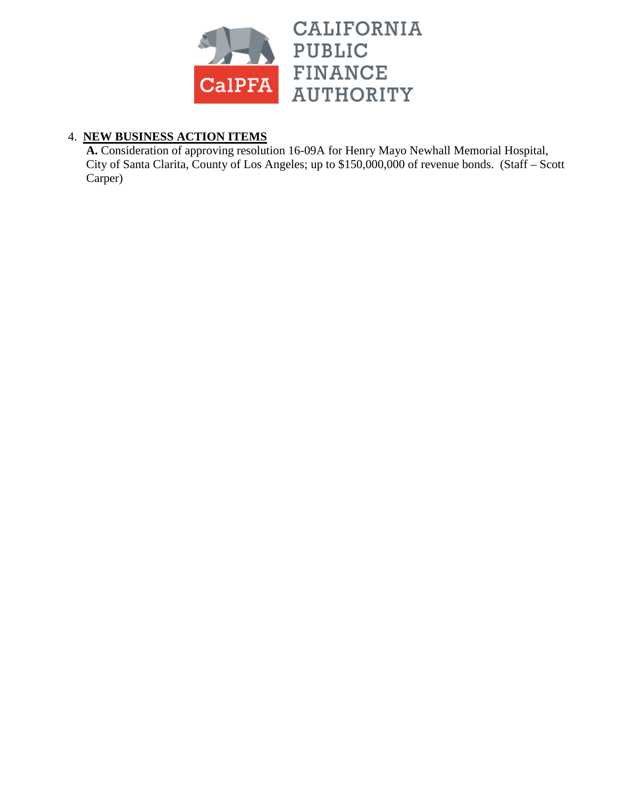

## 4. **NEW BUSINESS ACTION ITEMS**

**A.** Consideration of approving resolution 16-09A for Henry Mayo Newhall Memorial Hospital, City of Santa Clarita, County of Los Angeles; up to \$150,000,000 of revenue bonds. (Staff – Scott Carper)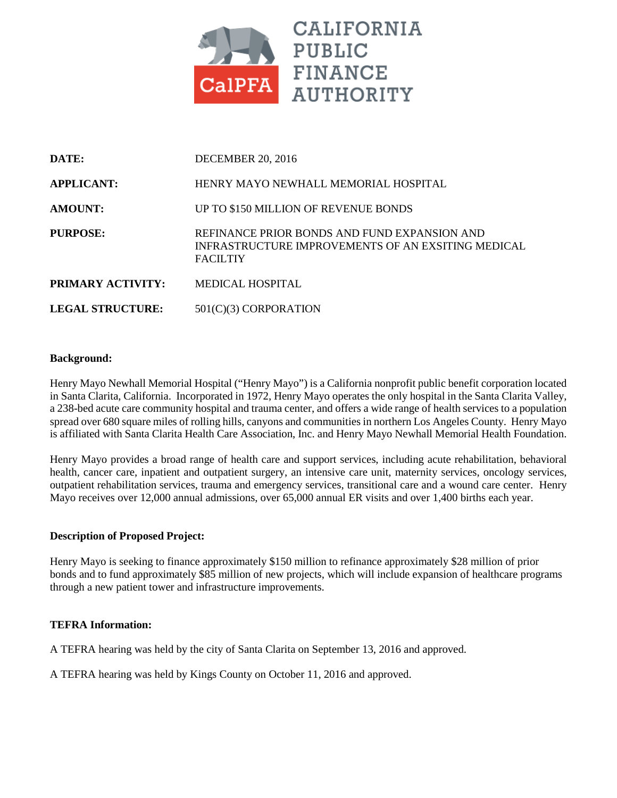

| DATE:                    | <b>DECEMBER 20, 2016</b>                                                                                              |
|--------------------------|-----------------------------------------------------------------------------------------------------------------------|
| <b>APPLICANT:</b>        | HENRY MAYO NEWHALL MEMORIAL HOSPITAL                                                                                  |
| <b>AMOUNT:</b>           | UP TO \$150 MILLION OF REVENUE BONDS                                                                                  |
| PURPOSE:                 | REFINANCE PRIOR BONDS AND FUND EXPANSION AND<br>INFRASTRUCTURE IMPROVEMENTS OF AN EXSITING MEDICAL<br><b>FACILTIY</b> |
| <b>PRIMARY ACTIVITY:</b> | MEDICAL HOSPITAL                                                                                                      |
| <b>LEGAL STRUCTURE:</b>  | $501(C)(3)$ CORPORATION                                                                                               |

#### **Background:**

Henry Mayo Newhall Memorial Hospital ("Henry Mayo") is a California nonprofit public benefit corporation located in Santa Clarita, California. Incorporated in 1972, Henry Mayo operates the only hospital in the Santa Clarita Valley, a 238-bed acute care community hospital and trauma center, and offers a wide range of health services to a population spread over 680 square miles of rolling hills, canyons and communities in northern Los Angeles County. Henry Mayo is affiliated with Santa Clarita Health Care Association, Inc. and Henry Mayo Newhall Memorial Health Foundation.

Henry Mayo provides a broad range of health care and support services, including acute rehabilitation, behavioral health, cancer care, inpatient and outpatient surgery, an intensive care unit, maternity services, oncology services, outpatient rehabilitation services, trauma and emergency services, transitional care and a wound care center. Henry Mayo receives over 12,000 annual admissions, over 65,000 annual ER visits and over 1,400 births each year.

#### **Description of Proposed Project:**

Henry Mayo is seeking to finance approximately \$150 million to refinance approximately \$28 million of prior bonds and to fund approximately \$85 million of new projects, which will include expansion of healthcare programs through a new patient tower and infrastructure improvements.

#### **TEFRA Information:**

A TEFRA hearing was held by the city of Santa Clarita on September 13, 2016 and approved.

A TEFRA hearing was held by Kings County on October 11, 2016 and approved.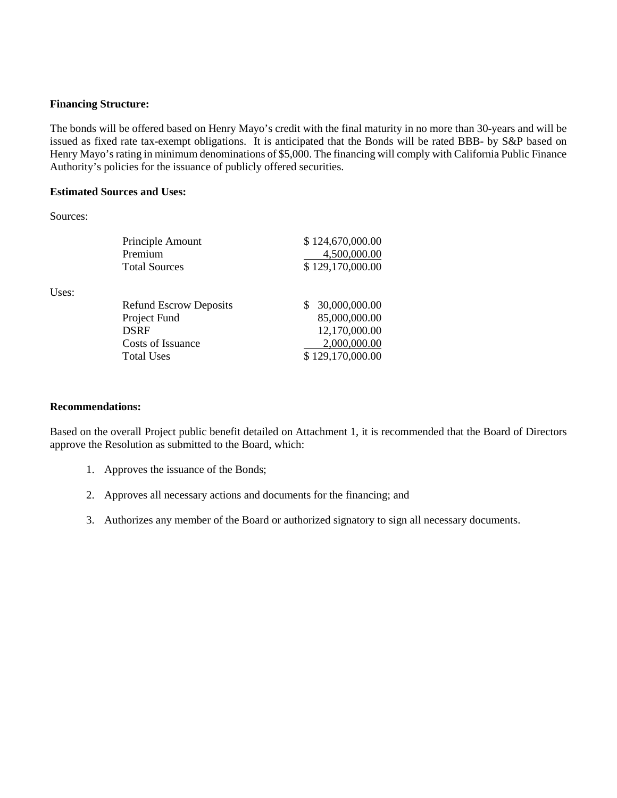#### **Financing Structure:**

The bonds will be offered based on Henry Mayo's credit with the final maturity in no more than 30-years and will be issued as fixed rate tax-exempt obligations. It is anticipated that the Bonds will be rated BBB- by S&P based on Henry Mayo's rating in minimum denominations of \$5,000. The financing will comply with California Public Finance Authority's policies for the issuance of publicly offered securities.

#### **Estimated Sources and Uses:**

Sources:

Uses:

| Principle Amount              | \$124,670,000.00 |
|-------------------------------|------------------|
| Premium                       | 4,500,000.00     |
| <b>Total Sources</b>          | \$129,170,000.00 |
| <b>Refund Escrow Deposits</b> | 30,000,000.00    |
| Project Fund                  | 85,000,000.00    |
| <b>DSRF</b>                   | 12,170,000.00    |
| Costs of Issuance             | 2,000,000.00     |
| <b>Total Uses</b>             | \$129,170,000.00 |

#### **Recommendations:**

Based on the overall Project public benefit detailed on Attachment 1, it is recommended that the Board of Directors approve the Resolution as submitted to the Board, which:

- 1. Approves the issuance of the Bonds;
- 2. Approves all necessary actions and documents for the financing; and
- 3. Authorizes any member of the Board or authorized signatory to sign all necessary documents.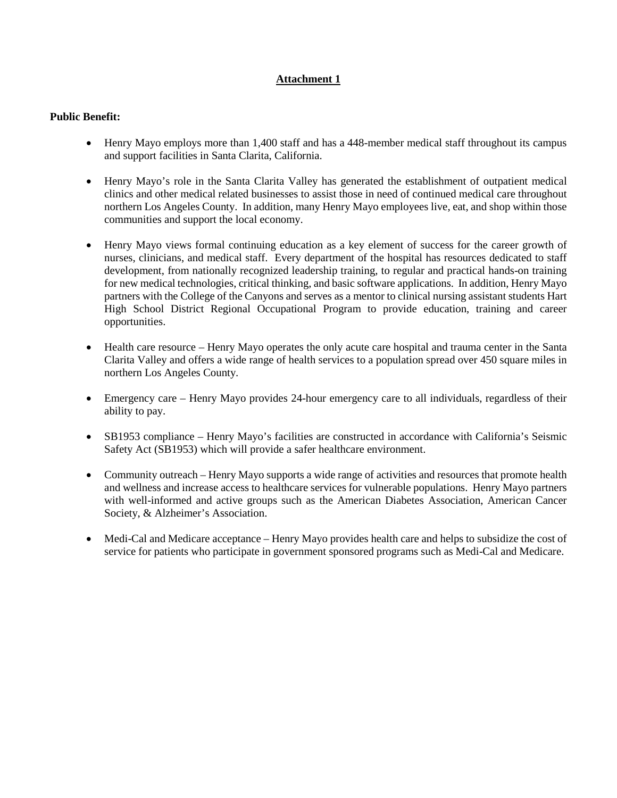#### **Attachment 1**

#### **Public Benefit:**

- Henry Mayo employs more than 1,400 staff and has a 448-member medical staff throughout its campus and support facilities in Santa Clarita, California.
- Henry Mayo's role in the Santa Clarita Valley has generated the establishment of outpatient medical clinics and other medical related businesses to assist those in need of continued medical care throughout northern Los Angeles County. In addition, many Henry Mayo employees live, eat, and shop within those communities and support the local economy.
- Henry Mayo views formal continuing education as a key element of success for the career growth of nurses, clinicians, and medical staff. Every department of the hospital has resources dedicated to staff development, from nationally recognized leadership training, to regular and practical hands-on training for new medical technologies, critical thinking, and basic software applications. In addition, Henry Mayo partners with the College of the Canyons and serves as a mentor to clinical nursing assistant students Hart High School District Regional Occupational Program to provide education, training and career opportunities.
- Health care resource Henry Mayo operates the only acute care hospital and trauma center in the Santa Clarita Valley and offers a wide range of health services to a population spread over 450 square miles in northern Los Angeles County.
- Emergency care Henry Mayo provides 24-hour emergency care to all individuals, regardless of their ability to pay.
- SB1953 compliance Henry Mayo's facilities are constructed in accordance with California's Seismic Safety Act (SB1953) which will provide a safer healthcare environment.
- Community outreach Henry Mayo supports a wide range of activities and resources that promote health and wellness and increase access to healthcare services for vulnerable populations. Henry Mayo partners with well-informed and active groups such as the American Diabetes Association, American Cancer Society, & Alzheimer's Association.
- Medi-Cal and Medicare acceptance Henry Mayo provides health care and helps to subsidize the cost of service for patients who participate in government sponsored programs such as Medi-Cal and Medicare.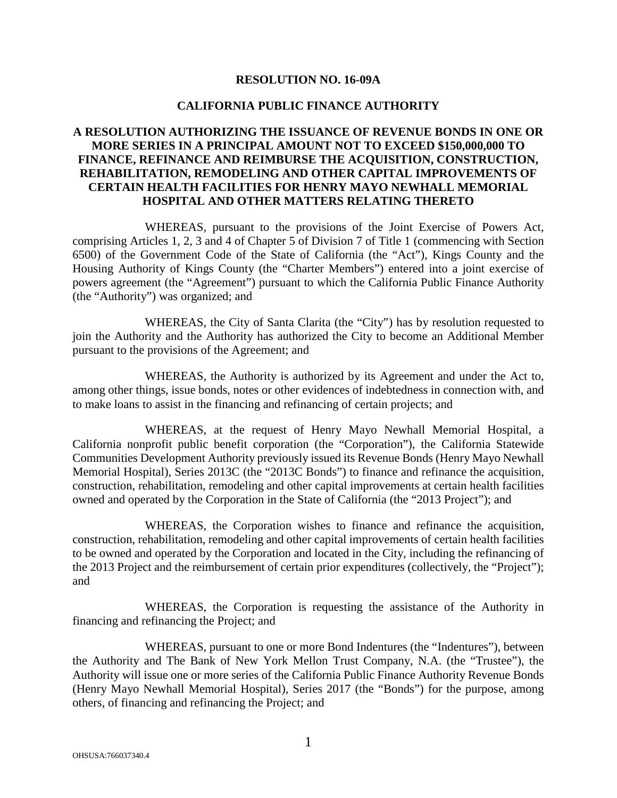#### **RESOLUTION NO. 16-09A**

#### **CALIFORNIA PUBLIC FINANCE AUTHORITY**

#### **A RESOLUTION AUTHORIZING THE ISSUANCE OF REVENUE BONDS IN ONE OR MORE SERIES IN A PRINCIPAL AMOUNT NOT TO EXCEED \$150,000,000 TO FINANCE, REFINANCE AND REIMBURSE THE ACQUISITION, CONSTRUCTION, REHABILITATION, REMODELING AND OTHER CAPITAL IMPROVEMENTS OF CERTAIN HEALTH FACILITIES FOR HENRY MAYO NEWHALL MEMORIAL HOSPITAL AND OTHER MATTERS RELATING THERETO**

WHEREAS, pursuant to the provisions of the Joint Exercise of Powers Act, comprising Articles 1, 2, 3 and 4 of Chapter 5 of Division 7 of Title 1 (commencing with Section 6500) of the Government Code of the State of California (the "Act"), Kings County and the Housing Authority of Kings County (the "Charter Members") entered into a joint exercise of powers agreement (the "Agreement") pursuant to which the California Public Finance Authority (the "Authority") was organized; and

WHEREAS, the City of Santa Clarita (the "City") has by resolution requested to join the Authority and the Authority has authorized the City to become an Additional Member pursuant to the provisions of the Agreement; and

WHEREAS, the Authority is authorized by its Agreement and under the Act to, among other things, issue bonds, notes or other evidences of indebtedness in connection with, and to make loans to assist in the financing and refinancing of certain projects; and

WHEREAS, at the request of Henry Mayo Newhall Memorial Hospital, a California nonprofit public benefit corporation (the "Corporation"), the California Statewide Communities Development Authority previously issued its Revenue Bonds (Henry Mayo Newhall Memorial Hospital), Series 2013C (the "2013C Bonds") to finance and refinance the acquisition, construction, rehabilitation, remodeling and other capital improvements at certain health facilities owned and operated by the Corporation in the State of California (the "2013 Project"); and

WHEREAS, the Corporation wishes to finance and refinance the acquisition, construction, rehabilitation, remodeling and other capital improvements of certain health facilities to be owned and operated by the Corporation and located in the City, including the refinancing of the 2013 Project and the reimbursement of certain prior expenditures (collectively, the "Project"); and

WHEREAS, the Corporation is requesting the assistance of the Authority in financing and refinancing the Project; and

WHEREAS, pursuant to one or more Bond Indentures (the "Indentures"), between the Authority and The Bank of New York Mellon Trust Company, N.A. (the "Trustee"), the Authority will issue one or more series of the California Public Finance Authority Revenue Bonds (Henry Mayo Newhall Memorial Hospital), Series 2017 (the "Bonds") for the purpose, among others, of financing and refinancing the Project; and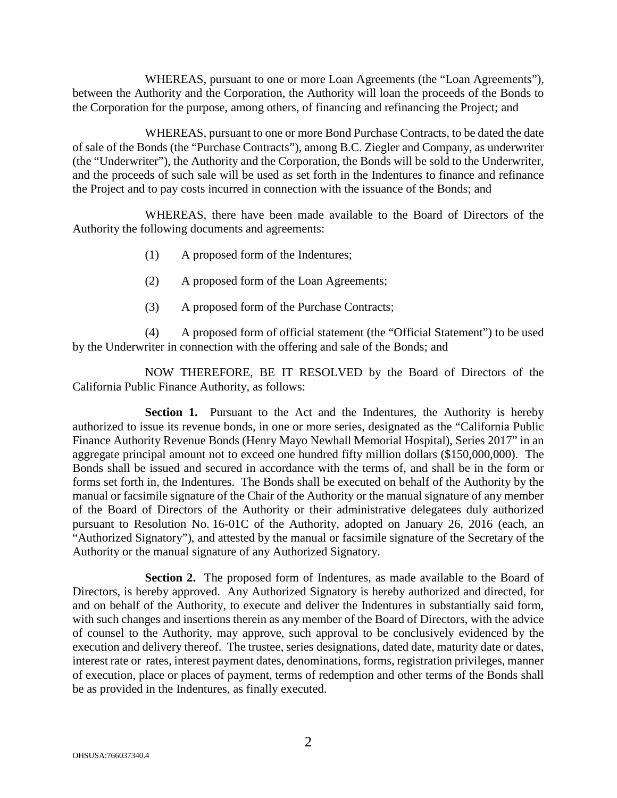WHEREAS, pursuant to one or more Loan Agreements (the "Loan Agreements"), between the Authority and the Corporation, the Authority will loan the proceeds of the Bonds to the Corporation for the purpose, among others, of financing and refinancing the Project; and

WHEREAS, pursuant to one or more Bond Purchase Contracts, to be dated the date of sale of the Bonds (the "Purchase Contracts"), among B.C. Ziegler and Company, as underwriter (the "Underwriter"), the Authority and the Corporation, the Bonds will be sold to the Underwriter, and the proceeds of such sale will be used as set forth in the Indentures to finance and refinance the Project and to pay costs incurred in connection with the issuance of the Bonds; and

WHEREAS, there have been made available to the Board of Directors of the Authority the following documents and agreements:

- (1) A proposed form of the Indentures;
- (2) A proposed form of the Loan Agreements;
- (3) A proposed form of the Purchase Contracts;

(4) A proposed form of official statement (the "Official Statement") to be used by the Underwriter in connection with the offering and sale of the Bonds; and

NOW THEREFORE, BE IT RESOLVED by the Board of Directors of the California Public Finance Authority, as follows:

**Section 1.** Pursuant to the Act and the Indentures, the Authority is hereby authorized to issue its revenue bonds, in one or more series, designated as the "California Public Finance Authority Revenue Bonds (Henry Mayo Newhall Memorial Hospital), Series 2017" in an aggregate principal amount not to exceed one hundred fifty million dollars (\$150,000,000). The Bonds shall be issued and secured in accordance with the terms of, and shall be in the form or forms set forth in, the Indentures. The Bonds shall be executed on behalf of the Authority by the manual or facsimile signature of the Chair of the Authority or the manual signature of any member of the Board of Directors of the Authority or their administrative delegatees duly authorized pursuant to Resolution No. 16-01C of the Authority, adopted on January 26, 2016 (each, an "Authorized Signatory"), and attested by the manual or facsimile signature of the Secretary of the Authority or the manual signature of any Authorized Signatory.

**Section 2.** The proposed form of Indentures, as made available to the Board of Directors, is hereby approved. Any Authorized Signatory is hereby authorized and directed, for and on behalf of the Authority, to execute and deliver the Indentures in substantially said form, with such changes and insertions therein as any member of the Board of Directors, with the advice of counsel to the Authority, may approve, such approval to be conclusively evidenced by the execution and delivery thereof. The trustee, series designations, dated date, maturity date or dates, interest rate or rates, interest payment dates, denominations, forms, registration privileges, manner of execution, place or places of payment, terms of redemption and other terms of the Bonds shall be as provided in the Indentures, as finally executed.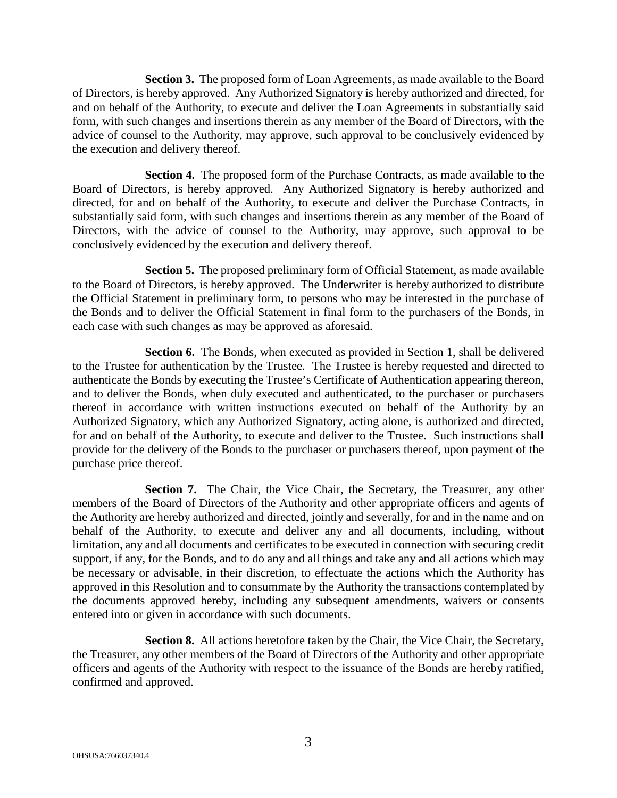**Section 3.** The proposed form of Loan Agreements, as made available to the Board of Directors, is hereby approved. Any Authorized Signatory is hereby authorized and directed, for and on behalf of the Authority, to execute and deliver the Loan Agreements in substantially said form, with such changes and insertions therein as any member of the Board of Directors, with the advice of counsel to the Authority, may approve, such approval to be conclusively evidenced by the execution and delivery thereof.

**Section 4.** The proposed form of the Purchase Contracts, as made available to the Board of Directors, is hereby approved. Any Authorized Signatory is hereby authorized and directed, for and on behalf of the Authority, to execute and deliver the Purchase Contracts, in substantially said form, with such changes and insertions therein as any member of the Board of Directors, with the advice of counsel to the Authority, may approve, such approval to be conclusively evidenced by the execution and delivery thereof.

**Section 5.** The proposed preliminary form of Official Statement, as made available to the Board of Directors, is hereby approved. The Underwriter is hereby authorized to distribute the Official Statement in preliminary form, to persons who may be interested in the purchase of the Bonds and to deliver the Official Statement in final form to the purchasers of the Bonds, in each case with such changes as may be approved as aforesaid.

**Section 6.** The Bonds, when executed as provided in Section 1, shall be delivered to the Trustee for authentication by the Trustee. The Trustee is hereby requested and directed to authenticate the Bonds by executing the Trustee's Certificate of Authentication appearing thereon, and to deliver the Bonds, when duly executed and authenticated, to the purchaser or purchasers thereof in accordance with written instructions executed on behalf of the Authority by an Authorized Signatory, which any Authorized Signatory, acting alone, is authorized and directed, for and on behalf of the Authority, to execute and deliver to the Trustee. Such instructions shall provide for the delivery of the Bonds to the purchaser or purchasers thereof, upon payment of the purchase price thereof.

**Section 7.** The Chair, the Vice Chair, the Secretary, the Treasurer, any other members of the Board of Directors of the Authority and other appropriate officers and agents of the Authority are hereby authorized and directed, jointly and severally, for and in the name and on behalf of the Authority, to execute and deliver any and all documents, including, without limitation, any and all documents and certificates to be executed in connection with securing credit support, if any, for the Bonds, and to do any and all things and take any and all actions which may be necessary or advisable, in their discretion, to effectuate the actions which the Authority has approved in this Resolution and to consummate by the Authority the transactions contemplated by the documents approved hereby, including any subsequent amendments, waivers or consents entered into or given in accordance with such documents.

**Section 8.** All actions heretofore taken by the Chair, the Vice Chair, the Secretary, the Treasurer, any other members of the Board of Directors of the Authority and other appropriate officers and agents of the Authority with respect to the issuance of the Bonds are hereby ratified, confirmed and approved.